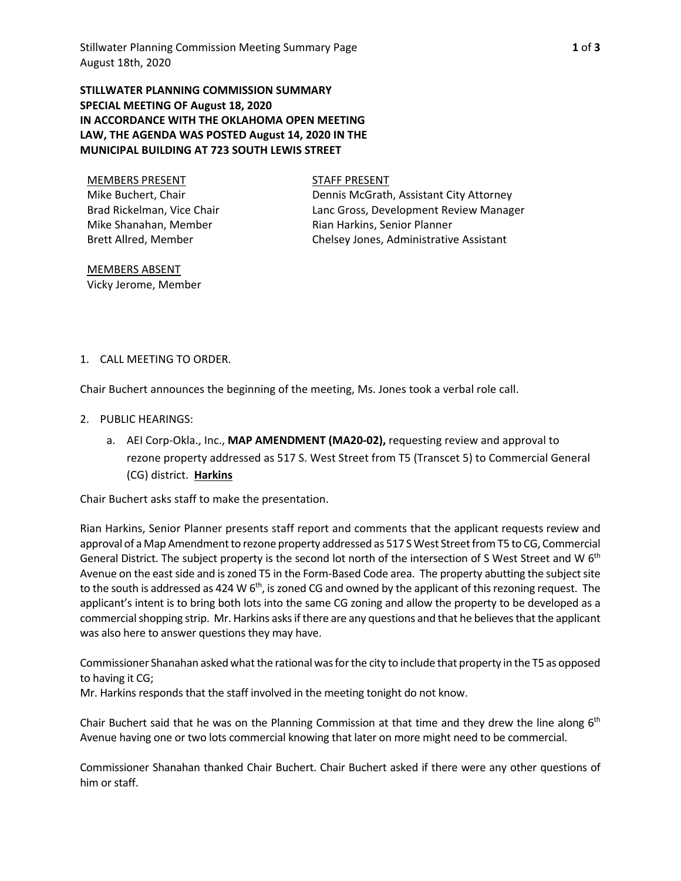**STILLWATER PLANNING COMMISSION SUMMARY SPECIAL MEETING OF August 18, 2020 IN ACCORDANCE WITH THE OKLAHOMA OPEN MEETING LAW, THE AGENDA WAS POSTED August 14, 2020 IN THE MUNICIPAL BUILDING AT 723 SOUTH LEWIS STREET** 

MEMBERS PRESENT STAFF PRESENT Mike Buchert, Chair Brad Rickelman, Vice Chair Mike Shanahan, Member Brett Allred, Member

Dennis McGrath, Assistant City Attorney Lanc Gross, Development Review Manager

Rian Harkins, Senior Planner Chelsey Jones, Administrative Assistant

MEMBERS ABSENT Vicky Jerome, Member

## 1. CALL MEETING TO ORDER.

Chair Buchert announces the beginning of the meeting, Ms. Jones took a verbal role call.

- 2. PUBLIC HEARINGS:
	- a. AEI Corp‐Okla., Inc., **MAP AMENDMENT (MA20‐02),** requesting review and approval to rezone property addressed as 517 S. West Street from T5 (Transcet 5) to Commercial General (CG) district. **Harkins**

Chair Buchert asks staff to make the presentation.

Rian Harkins, Senior Planner presents staff report and comments that the applicant requests review and approval of a Map Amendment to rezone property addressed as 517 S West Street from T5 to CG, Commercial General District. The subject property is the second lot north of the intersection of S West Street and W 6<sup>th</sup> Avenue on the east side and is zoned T5 in the Form‐Based Code area. The property abutting the subject site to the south is addressed as 424 W  $6<sup>th</sup>$ , is zoned CG and owned by the applicant of this rezoning request. The applicant's intent is to bring both lots into the same CG zoning and allow the property to be developed as a commercial shopping strip. Mr. Harkins asks if there are any questions and that he believes that the applicant was also here to answer questions they may have.

Commissioner Shanahan asked what the rational was for the city to include that property in the T5 as opposed to having it CG;

Mr. Harkins responds that the staff involved in the meeting tonight do not know.

Chair Buchert said that he was on the Planning Commission at that time and they drew the line along  $6<sup>th</sup>$ Avenue having one or two lots commercial knowing that later on more might need to be commercial.

Commissioner Shanahan thanked Chair Buchert. Chair Buchert asked if there were any other questions of him or staff.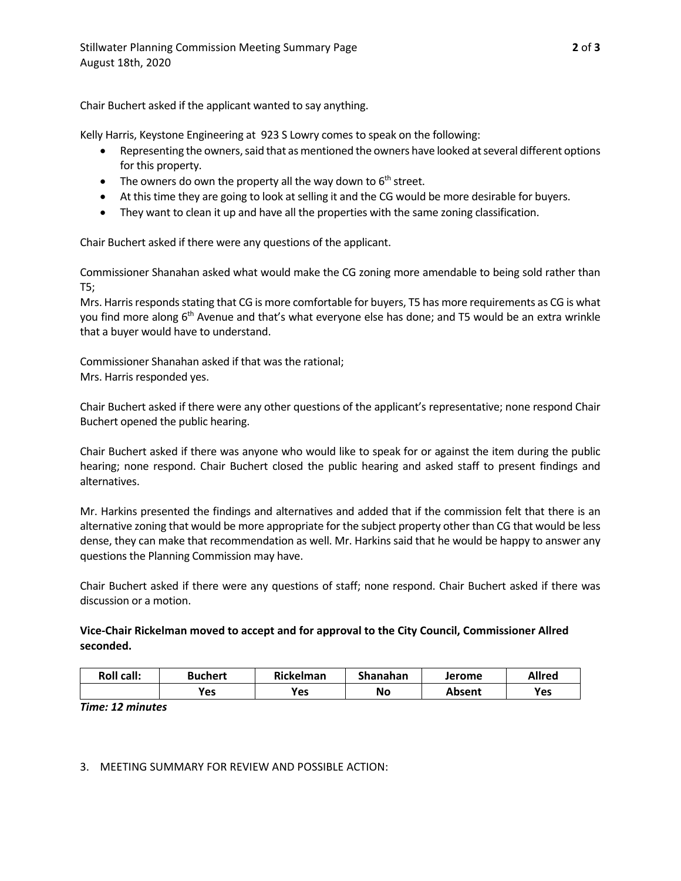Chair Buchert asked if the applicant wanted to say anything.

Kelly Harris, Keystone Engineering at 923 S Lowry comes to speak on the following:

- Representing the owners, said that as mentioned the owners have looked at several different options for this property.
- The owners do own the property all the way down to  $6<sup>th</sup>$  street.
- At this time they are going to look at selling it and the CG would be more desirable for buyers.
- They want to clean it up and have all the properties with the same zoning classification.

Chair Buchert asked if there were any questions of the applicant.

Commissioner Shanahan asked what would make the CG zoning more amendable to being sold rather than T5;

Mrs. Harris responds stating that CG is more comfortable for buyers, T5 has more requirements as CG is what you find more along 6<sup>th</sup> Avenue and that's what everyone else has done; and T5 would be an extra wrinkle that a buyer would have to understand.

Commissioner Shanahan asked if that was the rational; Mrs. Harris responded yes.

Chair Buchert asked if there were any other questions of the applicant's representative; none respond Chair Buchert opened the public hearing.

Chair Buchert asked if there was anyone who would like to speak for or against the item during the public hearing; none respond. Chair Buchert closed the public hearing and asked staff to present findings and alternatives.

Mr. Harkins presented the findings and alternatives and added that if the commission felt that there is an alternative zoning that would be more appropriate for the subject property other than CG that would be less dense, they can make that recommendation as well. Mr. Harkins said that he would be happy to answer any questions the Planning Commission may have.

Chair Buchert asked if there were any questions of staff; none respond. Chair Buchert asked if there was discussion or a motion.

# **Vice‐Chair Rickelman moved to accept and for approval to the City Council, Commissioner Allred seconded.**

| <b>Roll call:</b> | <b>Buchert</b> | Rickelman  | Shanahan | Jerome | <b>Allred</b> |
|-------------------|----------------|------------|----------|--------|---------------|
|                   | Yes            | <b>Yes</b> | No       | Absent | Yes           |

*Time: 12 minutes* 

## 3. MEETING SUMMARY FOR REVIEW AND POSSIBLE ACTION: